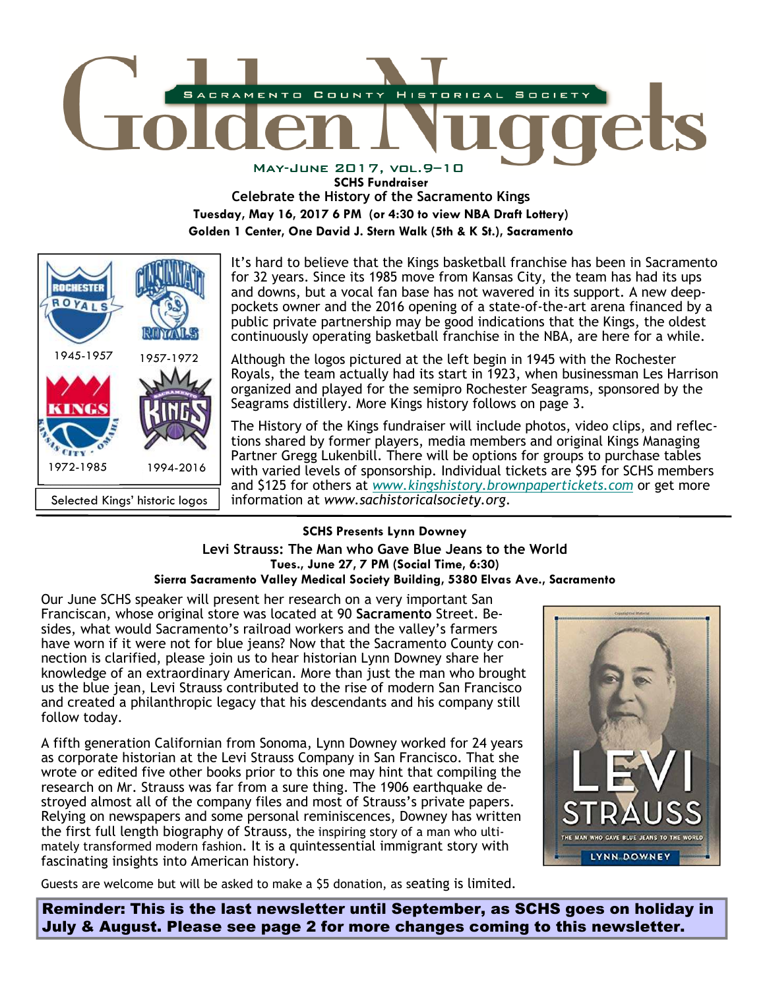

**SCHS Fundraiser** 

**Celebrate the History of the Sacramento Kings** 

**Tuesday, May 16, 2017 6 PM (or 4:30 to view NBA Draft Lottery)** 

**Golden 1 Center, One David J. Stern Walk (5th & K St.), Sacramento** 



It's hard to believe that the Kings basketball franchise has been in Sacramento for 32 years. Since its 1985 move from Kansas City, the team has had its ups and downs, but a vocal fan base has not wavered in its support. A new deeppockets owner and the 2016 opening of a state-of-the-art arena financed by a public private partnership may be good indications that the Kings, the oldest continuously operating basketball franchise in the NBA, are here for a while.

Although the logos pictured at the left begin in 1945 with the Rochester Royals, the team actually had its start in 1923, when businessman Les Harrison organized and played for the semipro Rochester Seagrams, sponsored by the Seagrams distillery. More Kings history follows on page 3.

The History of the Kings fundraiser will include photos, video clips, and reflections shared by former players, media members and original Kings Managing Partner Gregg Lukenbill. There will be options for groups to purchase tables with varied levels of sponsorship. Individual tickets are \$95 for SCHS members and \$125 for others at *www.kingshistory.brownpapertickets.com* or get more information at *www.sachistoricalsociety.org*.

# **SCHS Presents Lynn Downey**

## **Levi Strauss: The Man who Gave Blue Jeans to the World Tues., June 27, 7 PM (Social Time, 6:30) Sierra Sacramento Valley Medical Society Building, 5380 Elvas Ave., Sacramento**

Our June SCHS speaker will present her research on a very important San Franciscan, whose original store was located at 90 **Sacramento** Street. Besides, what would Sacramento's railroad workers and the valley's farmers have worn if it were not for blue jeans? Now that the Sacramento County connection is clarified, please join us to hear historian Lynn Downey share her knowledge of an extraordinary American. More than just the man who brought us the blue jean, Levi Strauss contributed to the rise of modern San Francisco and created a philanthropic legacy that his descendants and his company still follow today.

A fifth generation Californian from Sonoma, Lynn Downey worked for 24 years as corporate historian at the Levi Strauss Company in San Francisco. That she wrote or edited five other books prior to this one may hint that compiling the research on Mr. Strauss was far from a sure thing. The 1906 earthquake destroyed almost all of the company files and most of Strauss's private papers. Relying on newspapers and some personal reminiscences, Downey has written the first full length biography of Strauss, the inspiring story of a man who ultimately transformed modern fashion. It is a quintessential immigrant story with fascinating insights into American history.



Guests are welcome but will be asked to make a \$5 donation, as seating is limited.

Reminder: This is the last newsletter until September, as SCHS goes on holiday in July & August. Please see page 2 for more changes coming to this newsletter.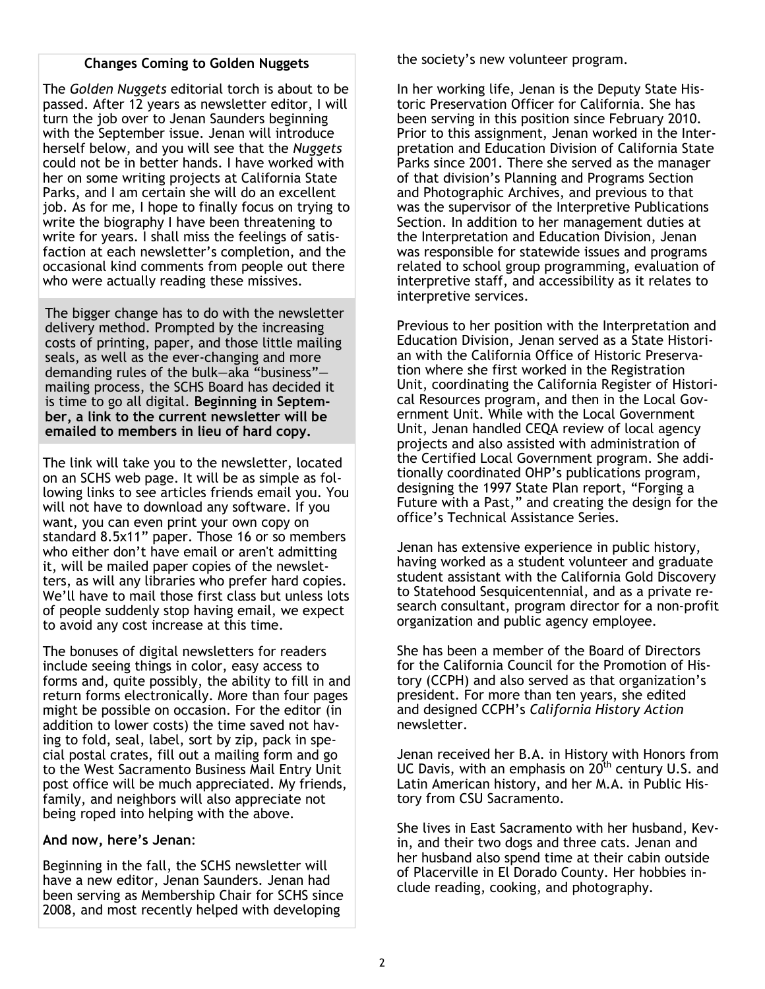### **Changes Coming to Golden Nuggets**

The *Golden Nuggets* editorial torch is about to be passed. After 12 years as newsletter editor, I will turn the job over to Jenan Saunders beginning with the September issue. Jenan will introduce herself below, and you will see that the *Nuggets* could not be in better hands. I have worked with her on some writing projects at California State Parks, and I am certain she will do an excellent job. As for me, I hope to finally focus on trying to write the biography I have been threatening to write for years. I shall miss the feelings of satisfaction at each newsletter's completion, and the occasional kind comments from people out there who were actually reading these missives.

The bigger change has to do with the newsletter delivery method. Prompted by the increasing costs of printing, paper, and those little mailing seals, as well as the ever-changing and more demanding rules of the bulk—aka "business" mailing process, the SCHS Board has decided it is time to go all digital. **Beginning in September, a link to the current newsletter will be emailed to members in lieu of hard copy.** 

The link will take you to the newsletter, located on an SCHS web page. It will be as simple as following links to see articles friends email you. You will not have to download any software. If you want, you can even print your own copy on standard 8.5x11" paper. Those 16 or so members who either don't have email or aren't admitting it, will be mailed paper copies of the newsletters, as will any libraries who prefer hard copies. We'll have to mail those first class but unless lots of people suddenly stop having email, we expect to avoid any cost increase at this time.

The bonuses of digital newsletters for readers include seeing things in color, easy access to forms and, quite possibly, the ability to fill in and return forms electronically. More than four pages might be possible on occasion. For the editor (in addition to lower costs) the time saved not having to fold, seal, label, sort by zip, pack in special postal crates, fill out a mailing form and go to the West Sacramento Business Mail Entry Unit post office will be much appreciated. My friends, family, and neighbors will also appreciate not being roped into helping with the above.

# **And now, here's Jenan**:

Beginning in the fall, the SCHS newsletter will have a new editor, Jenan Saunders. Jenan had been serving as Membership Chair for SCHS since 2008, and most recently helped with developing

the society's new volunteer program.

In her working life, Jenan is the Deputy State Historic Preservation Officer for California. She has been serving in this position since February 2010. Prior to this assignment, Jenan worked in the Interpretation and Education Division of California State Parks since 2001. There she served as the manager of that division's Planning and Programs Section and Photographic Archives, and previous to that was the supervisor of the Interpretive Publications Section. In addition to her management duties at the Interpretation and Education Division, Jenan was responsible for statewide issues and programs related to school group programming, evaluation of interpretive staff, and accessibility as it relates to interpretive services.

Previous to her position with the Interpretation and Education Division, Jenan served as a State Historian with the California Office of Historic Preservation where she first worked in the Registration Unit, coordinating the California Register of Historical Resources program, and then in the Local Government Unit. While with the Local Government Unit, Jenan handled CEQA review of local agency projects and also assisted with administration of the Certified Local Government program. She additionally coordinated OHP's publications program, designing the 1997 State Plan report, "Forging a Future with a Past," and creating the design for the office's Technical Assistance Series.

Jenan has extensive experience in public history, having worked as a student volunteer and graduate student assistant with the California Gold Discovery to Statehood Sesquicentennial, and as a private research consultant, program director for a non-profit organization and public agency employee.

She has been a member of the Board of Directors for the California Council for the Promotion of History (CCPH) and also served as that organization's president. For more than ten years, she edited and designed CCPH's *California History Action* newsletter.

Jenan received her B.A. in History with Honors from UC Davis, with an emphasis on  $20<sup>th</sup>$  century U.S. and Latin American history, and her M.A. in Public History from CSU Sacramento.

She lives in East Sacramento with her husband, Kevin, and their two dogs and three cats. Jenan and her husband also spend time at their cabin outside of Placerville in El Dorado County. Her hobbies include reading, cooking, and photography.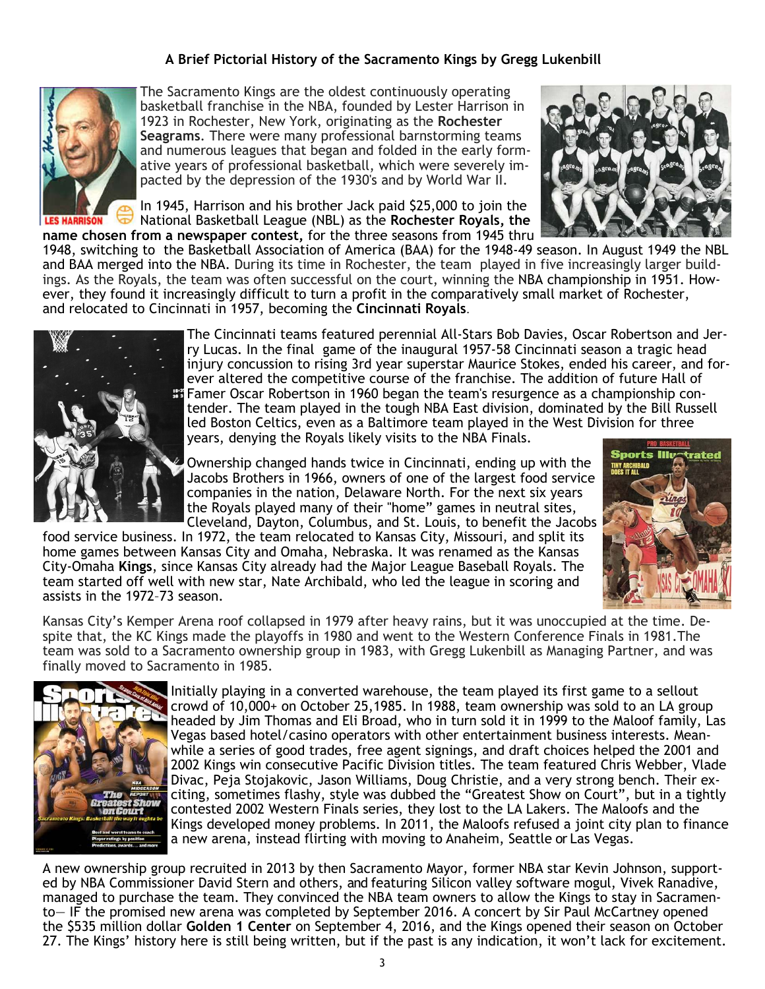# **A Brief Pictorial History of the Sacramento Kings by Gregg Lukenbill**



The Sacramento Kings are the oldest continuously operating basketball franchise in the NBA, founded by Lester Harrison in 1923 in Rochester, New York, originating as the **Rochester Seagrams**. There were many professional barnstorming teams and numerous leagues that began and folded in the early formative years of professional basketball, which were severely impacted by the depression of the 1930's and by World War II.

In 1945, Harrison and his brother Jack paid \$25,000 to join the National Basketball League (NBL) as the **Rochester Royals, the name chosen from a newspaper contest,** for the three seasons from 1945 thru



1948, switching to the Basketball Association of America (BAA) for the 1948-49 season. In August 1949 the NBL and BAA merged into the NBA. During its time in Rochester, the team played in five increasingly larger buildings. As the Royals, the team was often successful on the court, winning the NBA championship in 1951. However, they found it increasingly difficult to turn a profit in the comparatively small market of Rochester, and relocated to Cincinnati in 1957, becoming the **Cincinnati Royals**.



The Cincinnati teams featured perennial All-Stars Bob Davies, Oscar Robertson and Jerry Lucas. In the final game of the inaugural 1957-58 Cincinnati season a tragic head injury concussion to rising 3rd year superstar Maurice Stokes, ended his career, and forever altered the competitive course of the franchise. The addition of future Hall of Famer Oscar Robertson in 1960 began the team's resurgence as a championship contender. The team played in the tough NBA East division, dominated by the Bill Russell led Boston Celtics, even as a Baltimore team played in the West Division for three years, denying the Royals likely visits to the NBA Finals.

Ownership changed hands twice in Cincinnati, ending up with the Jacobs Brothers in 1966, owners of one of the largest food service companies in the nation, Delaware North. For the next six years the Royals played many of their "home" games in neutral sites, Cleveland, Dayton, Columbus, and St. Louis, to benefit the Jacobs

food service business. In 1972, the team relocated to Kansas City, Missouri, and split its home games between Kansas City and Omaha, Nebraska. It was renamed as the Kansas City-Omaha **Kings**, since Kansas City already had the Major League Baseball Royals. The team started off well with new star, Nate Archibald, who led the league in scoring and assists in the 1972–73 season.



Kansas City's Kemper Arena roof collapsed in 1979 after heavy rains, but it was unoccupied at the time. Despite that, the KC Kings made the playoffs in 1980 and went to the Western Conference Finals in 1981.The team was sold to a Sacramento ownership group in 1983, with Gregg Lukenbill as Managing Partner, and was finally moved to Sacramento in 1985.



Initially playing in a converted warehouse, the team played its first game to a sellout crowd of 10,000+ on October 25,1985. In 1988, team ownership was sold to an LA group headed by Jim Thomas and Eli Broad, who in turn sold it in 1999 to the Maloof family, Las Vegas based hotel/casino operators with other entertainment business interests. Meanwhile a series of good trades, free agent signings, and draft choices helped the 2001 and 2002 Kings win consecutive Pacific Division titles. The team featured Chris Webber, Vlade Divac, Peja Stojakovic, Jason Williams, Doug Christie, and a very strong bench. Their exciting, sometimes flashy, style was dubbed the "Greatest Show on Court", but in a tightly contested 2002 Western Finals series, they lost to the LA Lakers. The Maloofs and the Kings developed money problems. In 2011, the Maloofs refused a joint city plan to finance a new arena, instead flirting with moving to Anaheim, Seattle or Las Vegas.

A new ownership group recruited in 2013 by then Sacramento Mayor, former NBA star Kevin Johnson, supported by NBA Commissioner David Stern and others, and featuring Silicon valley software mogul, Vivek Ranadive, managed to purchase the team. They convinced the NBA team owners to allow the Kings to stay in Sacramento— IF the promised new arena was completed by September 2016. A concert by Sir Paul McCartney opened the \$535 million dollar **Golden 1 Center** on September 4, 2016, and the Kings opened their season on October 27. The Kings' history here is still being written, but if the past is any indication, it won't lack for excitement.